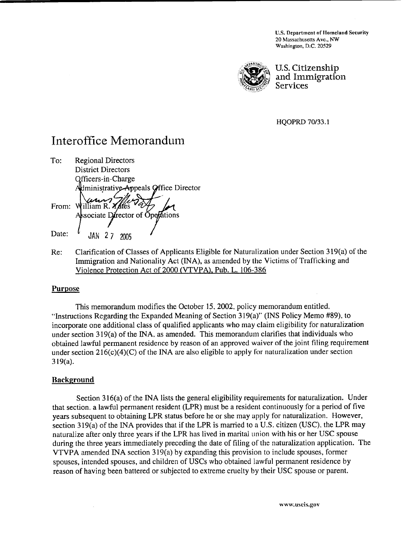**U.S. Department of Homeland Security 20 h.lassachusetts Avc.. NW**  Washington, D.C. 20529



U. **S. Citizenship**  and Immigration **Services** 

HQOPRD 70133.1

# Interoffice Memorandum

To: Regional Directors District Directors Qfficers-in-Charge Administrative Appeals Office Director Fo: Regional Directors<br>District Directors<br>Officers-in-Charge<br>Administrative Appeals Office Director<br>From: William R. Xales Date:  $\ell$  JAN 2.7 2005

Re: Clarification of Classes of Applicants Eligible for Naturalization under Section 3 19(a) of the Immigration and Nationality Act (INA), as amended by the Victims of Trafficking and Violence Protection Act of 2000 (VTVPA). Pub. L. 106-386

# **Purpose**

This memorandum modifies the October 15,2002. policy memorandum entitled, "Instructions Regarding the Expanded Meaning of Section 3 19(a)" (INS Policy Memo #89), to incorporate one additional class of qualified applicants who may claim eligibility for naturalization under section  $319(a)$  of the INA, as amended. This memorandum clarifies that individuals who obtained lawful permanent residence by reason of an approved waiver of the joint filing requirement under section  $216(c)(4)(C)$  of the INA are also eligible to apply for naturalization under section 3 19(a).

# **Background**

Section 316(a) of the INA lists the general eligibility requirements for naturalization. Under that section. a lawful permanent resident (LPR) must be a resident continuously for a period of five years subsequent to obtaining LPR status before he or she may apply for naturalization. However, section 319(a) of the INA provides that if the LPR is married to a U.S. citizen (USC), the LPR may naturalize after only three years if the LPR has lived in marital union with his or her USC spouse during the three years immediately preceding the date of filing of the naturalization application. The VTVPA amended INA section 3 19(a) by expanding this provision to include spouses, former spouses, intendcd spouses, and children of USCs who obtained lawful permanent residence by reason of having been battered or subjected to extreme cruelty by their USC spouse or parent.